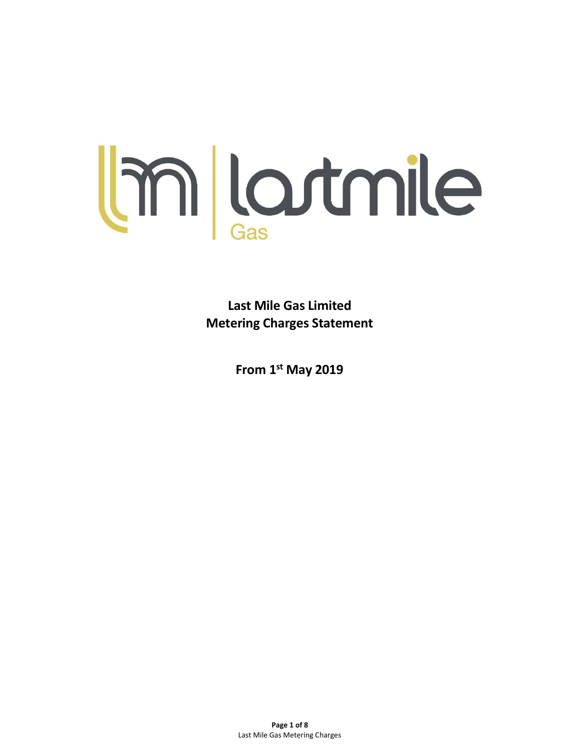

Last Mile Gas Limited Metering Charges Statement

From 1st May 2019

Page 1 of 8 Last Mile Gas Metering Charges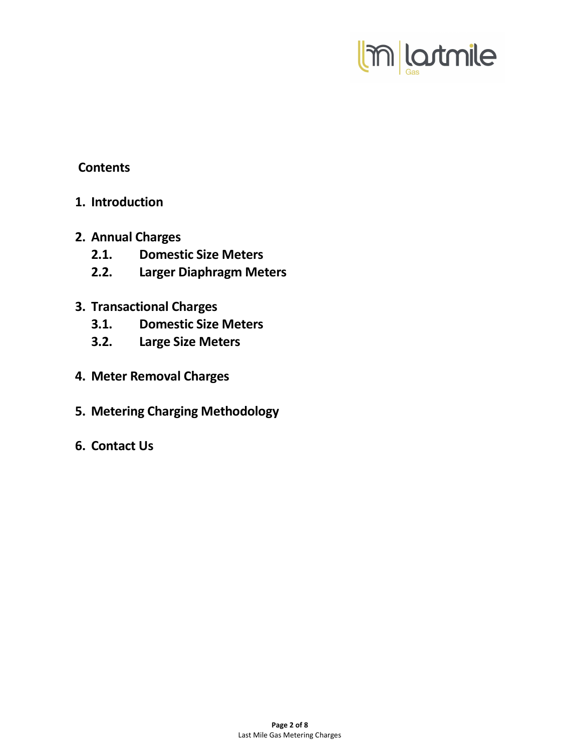

## **Contents**

- 1. Introduction
- 2. Annual Charges
	- 2.1. Domestic Size Meters
	- 2.2. Larger Diaphragm Meters
- 3. Transactional Charges
	- 3.1. Domestic Size Meters
	- 3.2. Large Size Meters
- 4. Meter Removal Charges
- 5. Metering Charging Methodology
- 6. Contact Us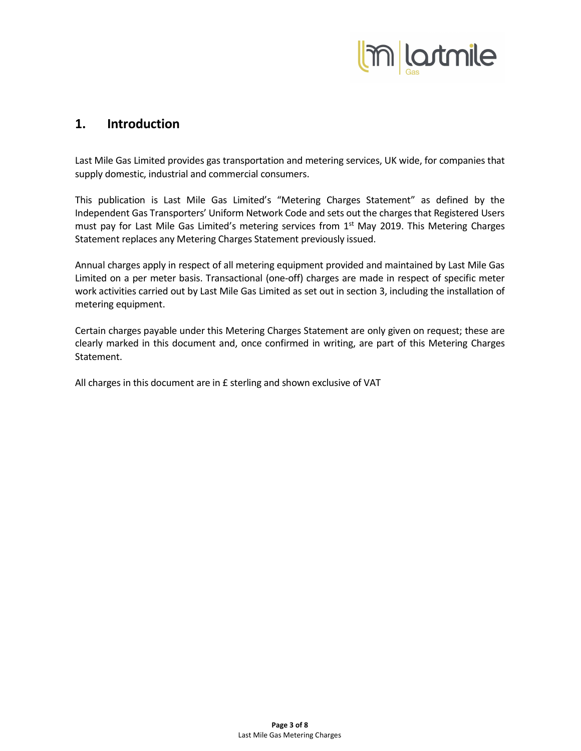

### 1. Introduction

Last Mile Gas Limited provides gas transportation and metering services, UK wide, for companies that supply domestic, industrial and commercial consumers.

This publication is Last Mile Gas Limited's "Metering Charges Statement" as defined by the Independent Gas Transporters' Uniform Network Code and sets out the charges that Registered Users must pay for Last Mile Gas Limited's metering services from 1<sup>st</sup> May 2019. This Metering Charges Statement replaces any Metering Charges Statement previously issued.

Annual charges apply in respect of all metering equipment provided and maintained by Last Mile Gas Limited on a per meter basis. Transactional (one-off) charges are made in respect of specific meter work activities carried out by Last Mile Gas Limited as set out in section 3, including the installation of metering equipment.

Certain charges payable under this Metering Charges Statement are only given on request; these are clearly marked in this document and, once confirmed in writing, are part of this Metering Charges Statement.

All charges in this document are in £ sterling and shown exclusive of VAT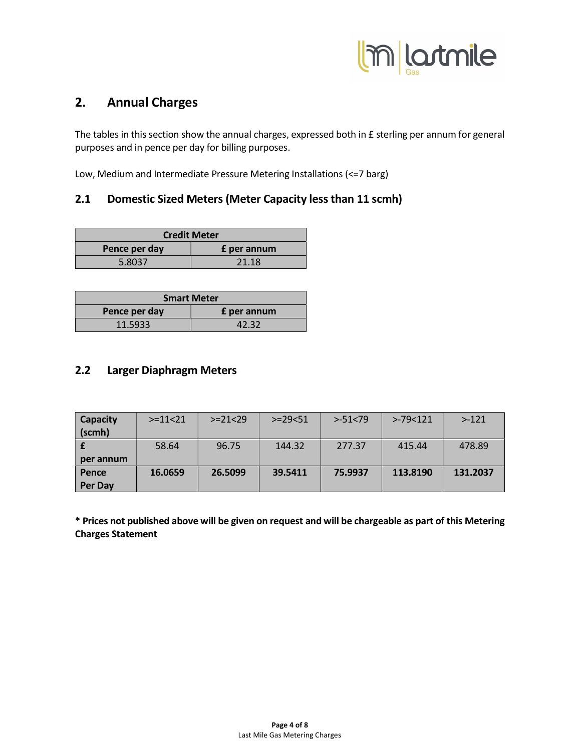

# 2. Annual Charges

The tables in this section show the annual charges, expressed both in £ sterling per annum for general purposes and in pence per day for billing purposes.

Low, Medium and Intermediate Pressure Metering Installations (<=7 barg)

### 2.1 Domestic Sized Meters (Meter Capacity less than 11 scmh)

| <b>Credit Meter</b>                 |       |  |  |  |  |  |  |  |  |  |
|-------------------------------------|-------|--|--|--|--|--|--|--|--|--|
| Pence per day<br><b>f</b> per annum |       |  |  |  |  |  |  |  |  |  |
| 5.8037                              | 21.18 |  |  |  |  |  |  |  |  |  |

| <b>Smart Meter</b>                  |       |  |  |  |  |  |  |  |  |  |
|-------------------------------------|-------|--|--|--|--|--|--|--|--|--|
| Pence per day<br><b>£</b> per annum |       |  |  |  |  |  |  |  |  |  |
| 11.5933                             | 42.32 |  |  |  |  |  |  |  |  |  |

### 2.2 Larger Diaphragm Meters

| Capacity  | $> = 11 < 21$ | $> = 21 < 29$ | $> = 29 < 51$ | $> -51 < 79$ | $> -79 < 121$ | $> -121$ |
|-----------|---------------|---------------|---------------|--------------|---------------|----------|
| (scmh)    |               |               |               |              |               |          |
|           | 58.64         | 96.75         | 144.32        | 277.37       | 415.44        | 478.89   |
| per annum |               |               |               |              |               |          |
| Pence     | 16.0659       | 26.5099       | 39.5411       | 75.9937      | 113.8190      | 131.2037 |
| Per Day   |               |               |               |              |               |          |

\* Prices not published above will be given on request and will be chargeable as part of this Metering Charges Statement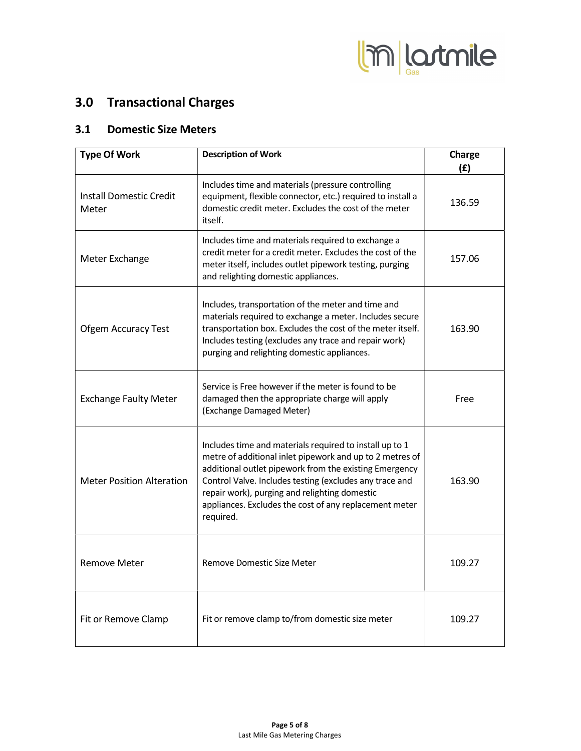

# 3.0 Transactional Charges

### 3.1 Domestic Size Meters

| <b>Type Of Work</b>                     | <b>Description of Work</b>                                                                                                                                                                                                                                                                                                                                       | Charge<br>(f) |
|-----------------------------------------|------------------------------------------------------------------------------------------------------------------------------------------------------------------------------------------------------------------------------------------------------------------------------------------------------------------------------------------------------------------|---------------|
| <b>Install Domestic Credit</b><br>Meter | Includes time and materials (pressure controlling<br>equipment, flexible connector, etc.) required to install a<br>domestic credit meter. Excludes the cost of the meter<br>itself.                                                                                                                                                                              | 136.59        |
| Meter Exchange                          | Includes time and materials required to exchange a<br>credit meter for a credit meter. Excludes the cost of the<br>meter itself, includes outlet pipework testing, purging<br>and relighting domestic appliances.                                                                                                                                                | 157.06        |
| <b>Ofgem Accuracy Test</b>              | Includes, transportation of the meter and time and<br>materials required to exchange a meter. Includes secure<br>transportation box. Excludes the cost of the meter itself.<br>Includes testing (excludes any trace and repair work)<br>purging and relighting domestic appliances.                                                                              | 163.90        |
| <b>Exchange Faulty Meter</b>            | Service is Free however if the meter is found to be<br>damaged then the appropriate charge will apply<br>(Exchange Damaged Meter)                                                                                                                                                                                                                                | Free          |
| <b>Meter Position Alteration</b>        | Includes time and materials required to install up to 1<br>metre of additional inlet pipework and up to 2 metres of<br>additional outlet pipework from the existing Emergency<br>Control Valve. Includes testing (excludes any trace and<br>repair work), purging and relighting domestic<br>appliances. Excludes the cost of any replacement meter<br>required. | 163.90        |
| <b>Remove Meter</b>                     | Remove Domestic Size Meter                                                                                                                                                                                                                                                                                                                                       | 109.27        |
| Fit or Remove Clamp                     | Fit or remove clamp to/from domestic size meter                                                                                                                                                                                                                                                                                                                  | 109.27        |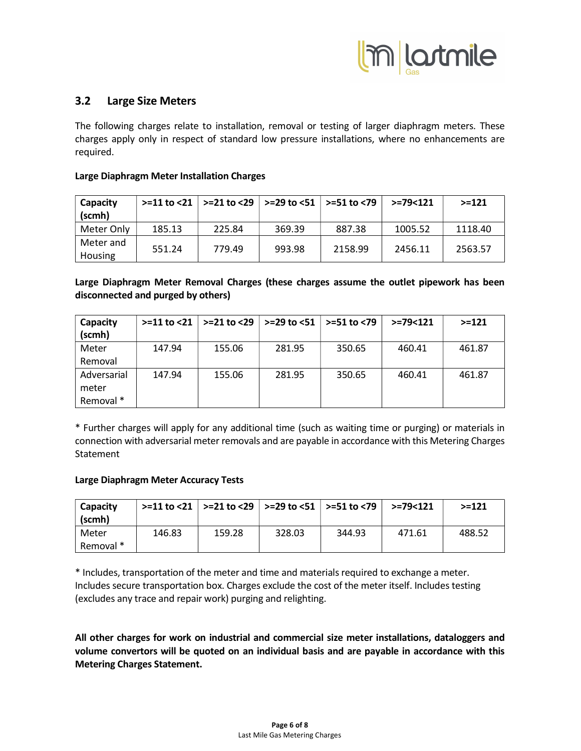

### 3.2 Large Size Meters

The following charges relate to installation, removal or testing of larger diaphragm meters. These charges apply only in respect of standard low pressure installations, where no enhancements are required.

#### Large Diaphragm Meter Installation Charges

| Capacity             |        | $>11$ to <21   $>21$ to <29   $>29$ to <51   $>51$ to <79 |        |         | $> = 79 < 121$ | $> = 121$ |
|----------------------|--------|-----------------------------------------------------------|--------|---------|----------------|-----------|
| (scmh)               |        |                                                           |        |         |                |           |
| Meter Only           | 185.13 | 225.84                                                    | 369.39 | 887.38  | 1005.52        | 1118.40   |
| Meter and<br>Housing | 551.24 | 779.49                                                    | 993.98 | 2158.99 | 2456.11        | 2563.57   |

Large Diaphragm Meter Removal Charges (these charges assume the outlet pipework has been disconnected and purged by others)

| Capacity    | $> = 11$ to $< 21$ | $> = 21$ to <29 | $>$ =29 to <51   >=51 to <79 |        | $> = 79 < 121$ | $> = 121$ |
|-------------|--------------------|-----------------|------------------------------|--------|----------------|-----------|
| (scmh)      |                    |                 |                              |        |                |           |
| Meter       | 147.94             | 155.06          | 281.95                       | 350.65 | 460.41         | 461.87    |
| Removal     |                    |                 |                              |        |                |           |
| Adversarial | 147.94             | 155.06          | 281.95                       | 350.65 | 460.41         | 461.87    |
| meter       |                    |                 |                              |        |                |           |
| Removal *   |                    |                 |                              |        |                |           |

\* Further charges will apply for any additional time (such as waiting time or purging) or materials in connection with adversarial meter removals and are payable in accordance with this Metering Charges **Statement** 

#### Large Diaphragm Meter Accuracy Tests

| Capacity<br>(scmh) |        |        |        | $>$ =11 to <21   >=21 to <29   >=29 to <51   >=51 to <79 | $> = 79 < 121$ | $> = 121$ |
|--------------------|--------|--------|--------|----------------------------------------------------------|----------------|-----------|
| Meter              | 146.83 | 159.28 | 328.03 | 344.93                                                   | 471.61         | 488.52    |
| Removal *          |        |        |        |                                                          |                |           |

\* Includes, transportation of the meter and time and materials required to exchange a meter. Includes secure transportation box. Charges exclude the cost of the meter itself. Includes testing (excludes any trace and repair work) purging and relighting.

All other charges for work on industrial and commercial size meter installations, dataloggers and volume convertors will be quoted on an individual basis and are payable in accordance with this Metering Charges Statement.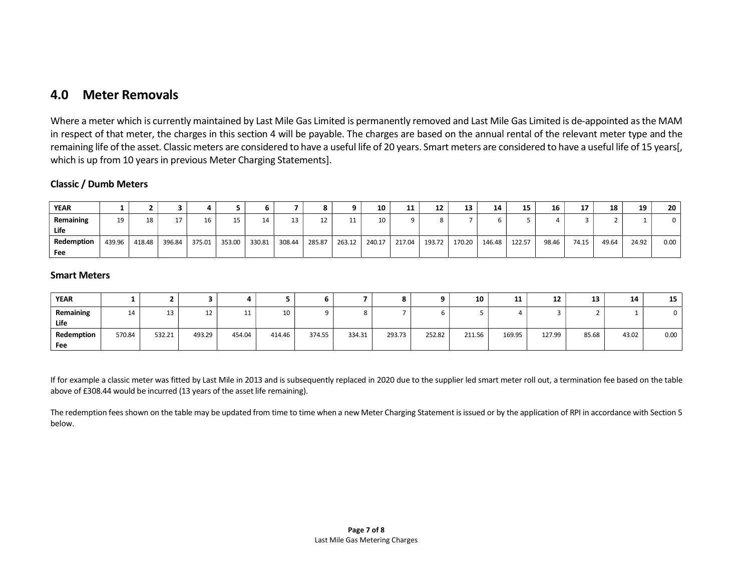## 4.0 Meter Removals

Where a meter which is currently maintained by Last Mile Gas Limited is permanently removed and Last Mile Gas Limited is de-appointed as the MAM in respect of that meter, the charges in this section 4 will be payable. The charges are based on the annual rental of the relevant meter type and the remaining life of the asset. Classic meters are considered to have a useful life of 20 years. Smart meters are considered to have a useful life of 15 years[, which is up from 10 years in previous Meter Charging Statements].

#### Classic / Dumb Meters

| <b>YEAR</b> |        |        |        |        |        |        |        |        |        | 10     | 44<br>. . | 12     | 13     | 14     | 15     | 16    | 17    | 18    | 19    | 20   |
|-------------|--------|--------|--------|--------|--------|--------|--------|--------|--------|--------|-----------|--------|--------|--------|--------|-------|-------|-------|-------|------|
| Remaining   | 19     | 18     |        | 16     | 15     | 14     |        | ᅭ      |        | 10     |           |        |        |        |        |       |       |       |       |      |
| Life        |        |        |        |        |        |        |        |        |        |        |           |        |        |        |        |       |       |       |       |      |
| Redemption  | 439.96 | 418.48 | 396.84 | 375.01 | 353.00 | 330.81 | 308.44 | 285.87 | 263.12 | 240.17 | 217.04    | 193.72 | 170.20 | 146.48 | 122.57 | 98.46 | 74.15 | 49.64 | 24.92 | 0.00 |
| Fee         |        |        |        |        |        |        |        |        |        |        |           |        |        |        |        |       |       |       |       |      |

#### Smart Meters

| <b>YEAR</b> |        |        |        |        |        | o      |        |        |        | 10     | 11     | 12     | 13    | 14    | 15   |
|-------------|--------|--------|--------|--------|--------|--------|--------|--------|--------|--------|--------|--------|-------|-------|------|
| Remaining   | 14     | 13     | ᅩᄼ     |        | 10     |        |        |        |        |        |        |        |       |       |      |
| Life        |        |        |        |        |        |        |        |        |        |        |        |        |       |       |      |
| Redemption  | 570.84 | 532.21 | 493.29 | 454.04 | 414.46 | 374.55 | 334.31 | 293.73 | 252.82 | 211.56 | 169.95 | 127.99 | 85.68 | 43.02 | 0.00 |
| Fee         |        |        |        |        |        |        |        |        |        |        |        |        |       |       |      |

If for example a classic meter was fitted by Last Mile in 2013 and is subsequently replaced in 2020 due to the supplier led smart meter roll out, a termination fee based on the table above of £308.44 would be incurred (13 years of the asset life remaining).

The redemption fees shown on the table may be updated from time to time when a new Meter Charging Statement is issued or by the application of RPI in accordance with Section 5 below.